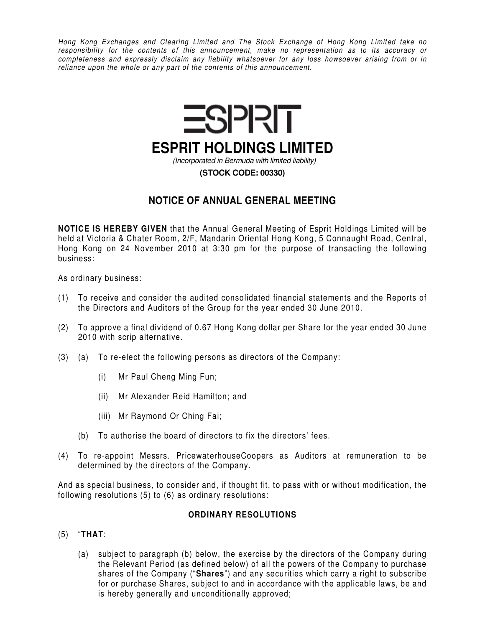*Hong Kong Exchanges and Clearing Limited and The Stock Exchange of Hong Kong Limited take no responsibility for the contents of this announcement, make no representation as to its accuracy or completeness and expressly disclaim any liability whatsoever for any loss howsoever arising from or in reliance upon the whole or any part of the contents of this announcement.* 



## **NOTICE OF ANNUAL GENERAL MEETING**

**NOTICE IS HEREBY GIVEN** that the Annual General Meeting of Esprit Holdings Limited will be held at Victoria & Chater Room, 2/F, Mandarin Oriental Hong Kong, 5 Connaught Road, Central, Hong Kong on 24 November 2010 at 3:30 pm for the purpose of transacting the following business:

As ordinary business:

- (1) To receive and consider the audited consolidated financial statements and the Reports of the Directors and Auditors of the Group for the year ended 30 June 2010.
- (2) To approve a final dividend of 0.67 Hong Kong dollar per Share for the year ended 30 June 2010 with scrip alternative.
- (3) (a) To re-elect the following persons as directors of the Company:
	- (i) Mr Paul Cheng Ming Fun;
	- (ii) Mr Alexander Reid Hamilton; and
	- (iii) Mr Raymond Or Ching Fai;
	- (b) To authorise the board of directors to fix the directors' fees.
- (4) To re-appoint Messrs. PricewaterhouseCoopers as Auditors at remuneration to be determined by the directors of the Company.

And as special business, to consider and, if thought fit, to pass with or without modification, the following resolutions (5) to (6) as ordinary resolutions:

## **ORDINARY RESOLUTIONS**

- (5) "**THAT**:
	- (a) subject to paragraph (b) below, the exercise by the directors of the Company during the Relevant Period (as defined below) of all the powers of the Company to purchase shares of the Company ("**Shares**") and any securities which carry a right to subscribe for or purchase Shares, subject to and in accordance with the applicable laws, be and is hereby generally and unconditionally approved;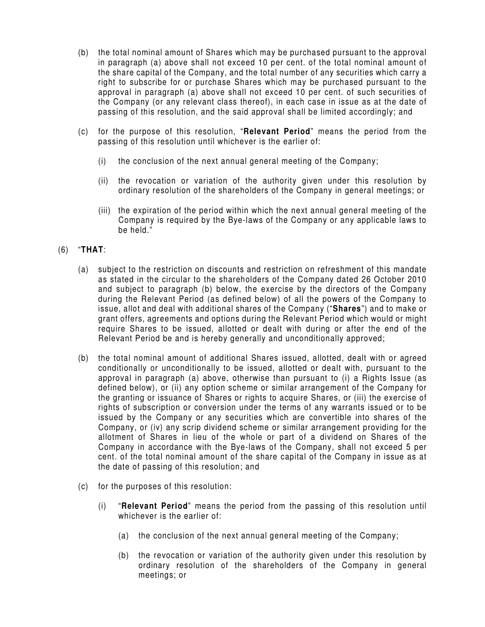- (b) the total nominal amount of Shares which may be purchased pursuant to the approval in paragraph (a) above shall not exceed 10 per cent. of the total nominal amount of the share capital of the Company, and the total number of any securities which carry a right to subscribe for or purchase Shares which may be purchased pursuant to the approval in paragraph (a) above shall not exceed 10 per cent. of such securities of the Company (or any relevant class thereof), in each case in issue as at the date of passing of this resolution, and the said approval shall be limited accordingly; and
- (c) for the purpose of this resolution, "**Relevant Period**" means the period from the passing of this resolution until whichever is the earlier of:
	- (i) the conclusion of the next annual general meeting of the Company;
	- (ii) the revocation or variation of the authority given under this resolution by ordinary resolution of the shareholders of the Company in general meetings; or
	- (iii) the expiration of the period within which the next annual general meeting of the Company is required by the Bye-laws of the Company or any applicable laws to be held."

## (6) "**THAT**:

- (a) subject to the restriction on discounts and restriction on refreshment of this mandate as stated in the circular to the shareholders of the Company dated 26 October 2010 and subject to paragraph (b) below, the exercise by the directors of the Company during the Relevant Period (as defined below) of all the powers of the Company to issue, allot and deal with additional shares of the Company ("**Shares**") and to make or grant offers, agreements and options during the Relevant Period which would or might require Shares to be issued, allotted or dealt with during or after the end of the Relevant Period be and is hereby generally and unconditionally approved;
- (b) the total nominal amount of additional Shares issued, allotted, dealt with or agreed conditionally or unconditionally to be issued, allotted or dealt with, pursuant to the approval in paragraph (a) above, otherwise than pursuant to (i) a Rights Issue (as defined below), or (ii) any option scheme or similar arrangement of the Company for the granting or issuance of Shares or rights to acquire Shares, or (iii) the exercise of rights of subscription or conversion under the terms of any warrants issued or to be issued by the Company or any securities which are convertible into shares of the Company, or (iv) any scrip dividend scheme or similar arrangement providing for the allotment of Shares in lieu of the whole or part of a dividend on Shares of the Company in accordance with the Bye-laws of the Company, shall not exceed 5 per cent. of the total nominal amount of the share capital of the Company in issue as at the date of passing of this resolution; and
- (c) for the purposes of this resolution:
	- (i) "**Relevant Period**" means the period from the passing of this resolution until whichever is the earlier of:
		- (a) the conclusion of the next annual general meeting of the Company;
		- (b) the revocation or variation of the authority given under this resolution by ordinary resolution of the shareholders of the Company in general meetings; or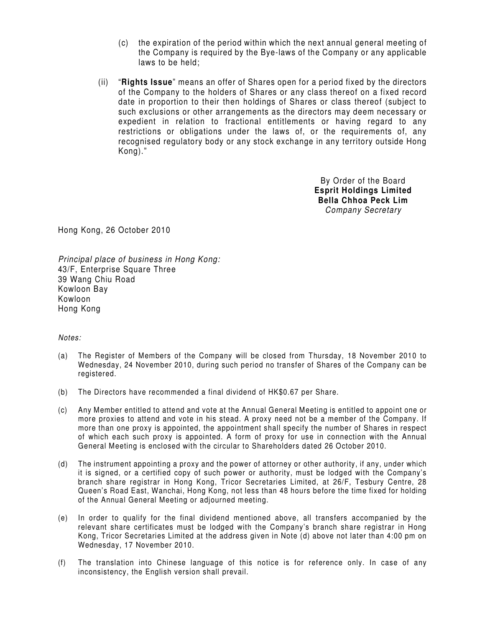- (c) the expiration of the period within which the next annual general meeting of the Company is required by the Bye-laws of the Company or any applicable laws to be held;
- (ii) "**Rights Issue**" means an offer of Shares open for a period fixed by the directors of the Company to the holders of Shares or any class thereof on a fixed record date in proportion to their then holdings of Shares or class thereof (subject to such exclusions or other arrangements as the directors may deem necessary or expedient in relation to fractional entitlements or having regard to any restrictions or obligations under the laws of, or the requirements of, any recognised regulatory body or any stock exchange in any territory outside Hong Kong)."

By Order of the Board **Esprit Holdings Limited Bella Chhoa Peck Lim**  *Company Secretary* 

Hong Kong, 26 October 2010

*Principal place of business in Hong Kong:*  43/F, Enterprise Square Three 39 Wang Chiu Road Kowloon Bay Kowloon Hong Kong

## *Notes:*

- (a) The Register of Members of the Company will be closed from Thursday, 18 November 2010 to Wednesday, 24 November 2010, during such period no transfer of Shares of the Company can be registered.
- (b) The Directors have recommended a final dividend of HK\$0.67 per Share.
- (c) Any Member entitled to attend and vote at the Annual General Meeting is entitled to appoint one or more proxies to attend and vote in his stead. A proxy need not be a member of the Company. If more than one proxy is appointed, the appointment shall specify the number of Shares in respect of which each such proxy is appointed. A form of proxy for use in connection with the Annual General Meeting is enclosed with the circular to Shareholders dated 26 October 2010.
- (d) The instrument appointing a proxy and the power of attorney or other authority, if any, under which it is signed, or a certified copy of such power or authority, must be lodged with the Company's branch share registrar in Hong Kong, Tricor Secretaries Limited, at 26/F, Tesbury Centre, 28 Queen's Road East, Wanchai, Hong Kong, not less than 48 hours before the time fixed for holding of the Annual General Meeting or adjourned meeting.
- (e) In order to qualify for the final dividend mentioned above, all transfers accompanied by the relevant share certificates must be lodged with the Company's branch share registrar in Hong Kong, Tricor Secretaries Limited at the address given in Note (d) above not later than 4:00 pm on Wednesday, 17 November 2010.
- (f) The translation into Chinese language of this notice is for reference only. In case of any inconsistency, the English version shall prevail.